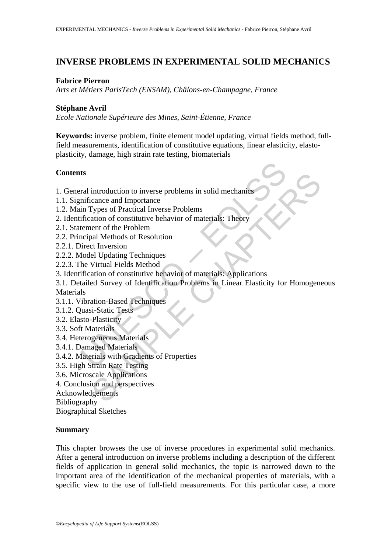# **INVERSE PROBLEMS IN EXPERIMENTAL SOLID MECHANICS**

#### **Fabrice Pierron**

*Arts et Métiers ParisTech (ENSAM), Châlons-en-Champagne, France* 

### **Stéphane Avril**

*Ecole Nationale Supérieure des Mines, Saint-Étienne, France* 

**Keywords:** inverse problem, finite element model updating, virtual fields method, fullfield measurements, identification of constitutive equations, linear elasticity, elastoplasticity, damage, high strain rate testing, biomaterials

### **Contents**

1. General introduction to inverse problems in solid mechanics

- 1.1. Significance and Importance
- 1.2. Main Types of Practical Inverse Problems
- 2. Identification of constitutive behavior of materials: Theory
- 2.1. Statement of the Problem
- 2.2. Principal Methods of Resolution
- 2.2.1. Direct Inversion
- 2.2.2. Model Updating Techniques
- 2.2.3. The Virtual Fields Method
- 3. Identification of constitutive behavior of materials: Applications

**ts**<br> **ts**<br> **complementation**<br> **complementation**<br> **complementation**<br> **complementation**<br> **if** (**C**)<br> **if** (**C**)<br> **if** (**C**)<br> **if** (**C**)<br> **if** (**C**)<br> **if** (**C**)<br> **if** (**C**)<br> **if** (**C**)<br> **if** (**C**)<br> **if** (**C**)<br> **if** (**C**)<br> **i** introduction to inverse problems in solid mechanics<br>
increase and Importance<br>
rypes of Practical Inverse Problems<br>
ataion of constitutive behavior of materials: Theory<br>
and Methods of Resolution<br>
cult Urbating Techniques<br> 3.1. Detailed Survey of Identification Problems in Linear Elasticity for Homogeneous **Materials** 

- 3.1.1. Vibration-Based Techniques
- 3.1.2. Quasi-Static Tests
- 3.2. Elasto-Plasticity
- 3.3. Soft Materials
- 3.4. Heterogeneous Materials
- 3.4.1. Damaged Materials
- 3.4.2. Materials with Gradients of Properties
- 3.5. High Strain Rate Testing
- 3.6. Microscale Applications
- 4. Conclusion and perspectives
- Acknowledgements

Bibliography

Biographical Sketches

### **Summary**

This chapter browses the use of inverse procedures in experimental solid mechanics. After a general introduction on inverse problems including a description of the different fields of application in general solid mechanics, the topic is narrowed down to the important area of the identification of the mechanical properties of materials, with a specific view to the use of full-field measurements. For this particular case, a more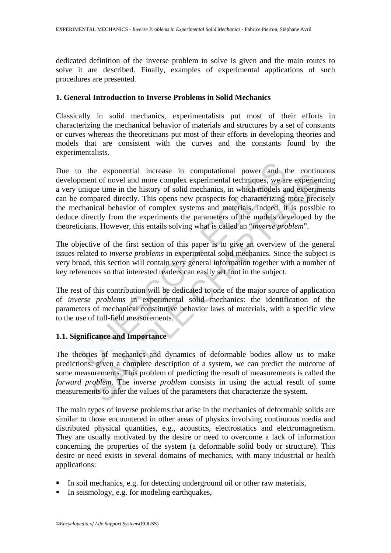dedicated definition of the inverse problem to solve is given and the main routes to solve it are described. Finally, examples of experimental applications of such procedures are presented.

#### **1. General Introduction to Inverse Problems in Solid Mechanics**

Classically in solid mechanics, experimentalists put most of their efforts in characterizing the mechanical behavior of materials and structures by a set of constants or curves whereas the theoreticians put most of their efforts in developing theories and models that are consistent with the curves and the constants found by the experimentalists.

the exponential increase in computational power and the exponential increase in computational power and the mique time in the history of solid mechanics, in which models and mique time in the history of solid mechanics, in incomential inclusions in computational power and the community of finder experient of finder community power and material techniques, we are experiently que time in the history of solid mechanics, in which models and expe Due to the exponential increase in computational power and the continuous development of novel and more complex experimental techniques, we are experiencing a very unique time in the history of solid mechanics, in which models and experiments can be compared directly. This opens new prospects for characterizing more precisely the mechanical behavior of complex systems and materials. Indeed, it is possible to deduce directly from the experiments the parameters of the models developed by the theoreticians. However, this entails solving what is called an "*inverse problem*".

The objective of the first section of this paper is to give an overview of the general issues related to *inverse problems* in experimental solid mechanics. Since the subject is very broad, this section will contain very general information together with a number of key references so that interested readers can easily set foot in the subject.

The rest of this contribution will be dedicated to one of the major source of application of *inverse problems* in experimental solid mechanics: the identification of the parameters of mechanical constitutive behavior laws of materials, with a specific view to the use of full-field measurements.

### **1.1. Significance and Importance**

The theories of mechanics and dynamics of deformable bodies allow us to make predictions: given a complete description of a system, we can predict the outcome of some measurements. This problem of predicting the result of measurements is called the *forward problem*. The *inverse problem* consists in using the actual result of some measurements to infer the values of the parameters that characterize the system.

The main types of inverse problems that arise in the mechanics of deformable solids are similar to those encountered in other areas of physics involving continuous media and distributed physical quantities, e.g., acoustics, electrostatics and electromagnetism. They are usually motivated by the desire or need to overcome a lack of information concerning the properties of the system (a deformable solid body or structure). This desire or need exists in several domains of mechanics, with many industrial or health applications:

- In soil mechanics, e.g. for detecting underground oil or other raw materials,
- In seismology, e.g. for modeling earthquakes,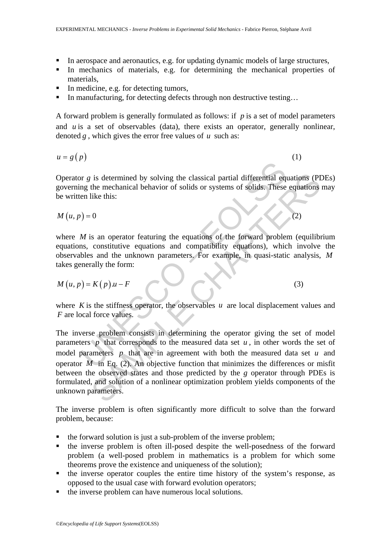- In aerospace and aeronautics, e.g. for updating dynamic models of large structures,
- In mechanics of materials, e.g. for determining the mechanical properties of materials,
- In medicine, e.g. for detecting tumors,
- In manufacturing, for detecting defects through non destructive testing...

A forward problem is generally formulated as follows: if *p* is a set of model parameters and *u* is a set of observables (data), there exists an operator, generally nonlinear, denoted *g* , which gives the error free values of *u* such as:

$$
u = g(p) \tag{1}
$$

Operator *g* is determined by solving the classical partial differential equations (PDEs) governing the mechanical behavior of solids or systems of solids. These equations may be written like this:

 $M(u, p) = 0$  (2)

where  $M$  is an operator featuring the equations of the forward problem (equilibrium equations, constitutive equations and compatibility equations), which involve the observables and the unknown parameters. For example, in quasi-static analysis, *M* takes generally the form:

$$
M(u, p) = K(p) \cdot u - F \tag{3}
$$

where  $K$  is the stiffness operator, the observables  $u$  are local displacement values and *F* are local force values.

or g is determined by solving the classical partial differential equality and the mechanical behavior of solids or systems of solids. These<br>en like this:<br>(a) = 0<br>(a) = 0<br>(a) = 0<br>(a) = 0<br>(a) = 0<br>(a) = 0<br>(a) = 0<br>(a) = 0<br>(a) is determined by solving the classical partial differential equations (PI<br>the mechanical behavior of solids or systems of solids. These equations<br>like this:<br>0<br>0<br>constitutive equations and compatibility equations), which i The inverse problem consists in determining the operator giving the set of model parameters *p* that corresponds to the measured data set *u*, in other words the set of model parameters *p* that are in agreement with both the measured data set *u* and operator  $M$  in Eq. (2). An objective function that minimizes the differences or misfit between the observed states and those predicted by the *g* operator through PDEs is formulated, and solution of a nonlinear optimization problem yields components of the unknown parameters.

The inverse problem is often significantly more difficult to solve than the forward problem, because:

- the forward solution is just a sub-problem of the inverse problem;
- the inverse problem is often ill-posed despite the well-posedness of the forward problem (a well-posed problem in mathematics is a problem for which some theorems prove the existence and uniqueness of the solution);
- $\blacksquare$  the inverse operator couples the entire time history of the system's response, as opposed to the usual case with forward evolution operators;
- the inverse problem can have numerous local solutions.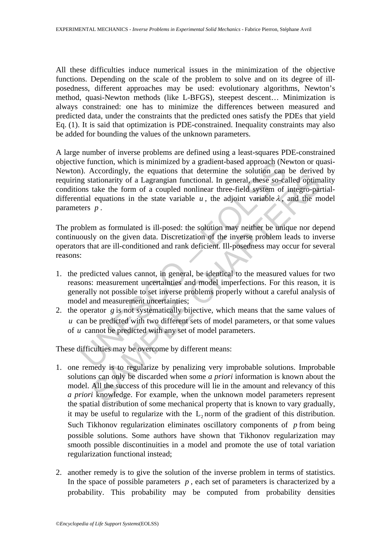All these difficulties induce numerical issues in the minimization of the objective functions. Depending on the scale of the problem to solve and on its degree of illposedness, different approaches may be used: evolutionary algorithms, Newton's method, quasi-Newton methods (like L-BFGS), steepest descent… Minimization is always constrained: one has to minimize the differences between measured and predicted data, under the constraints that the predicted ones satisfy the PDEs that yield Eq. (1). It is said that optimization is PDE-constrained. Inequality constraints may also be added for bounding the values of the unknown parameters.

The unction, which is minimized by a gradient-based approach (Note equations that determine the solution can<br>g stationarity of a Lagrangian functional. In general, these so-cans take the form of a coupled nonlinear three A large number of inverse problems are defined using a least-squares PDE-constrained objective function, which is minimized by a gradient-based approach (Newton or quasi-Newton). Accordingly, the equations that determine the solution can be derived by requiring stationarity of a Lagrangian functional. In general, these so-called optimality conditions take the form of a coupled nonlinear three-field system of integro-partialdifferential equations in the state variable  $u$ , the adjoint variable  $\lambda$ , and the model parameters *p* .

The problem as formulated is ill-posed: the solution may neither be unique nor depend continuously on the given data. Discretization of the inverse problem leads to inverse operators that are ill-conditioned and rank deficient. Ill-posedness may occur for several reasons:

- 1. the predicted values cannot, in general, be identical to the measured values for two reasons: measurement uncertainties and model imperfections. For this reason, it is generally not possible to set inverse problems properly without a careful analysis of model and measurement uncertainties;
- 2. the operator *g* is not systematically bijective, which means that the same values of *u* can be predicted with two different sets of model parameters, or that some values of *u* cannot be predicted with any set of model parameters.

These difficulties may be overcome by different means:

- Accountingly, the equations hard cuctinities the solution can be derived<br>tationarity of a Lagrangian functional. In general, these so-called optimal<br>take the form of a coupled nonlinear three-field system of integro-par<br>e 1. one remedy is to regularize by penalizing very improbable solutions. Improbable solutions can only be discarded when some *a priori* information is known about the model. All the success of this procedure will lie in the amount and relevancy of this *a priori* knowledge. For example, when the unknown model parameters represent the spatial distribution of some mechanical property that is known to vary gradually, it may be useful to regularize with the L, norm of the gradient of this distribution. Such Tikhonov regularization eliminates oscillatory components of *p* from being possible solutions. Some authors have shown that Tikhonov regularization may smooth possible discontinuities in a model and promote the use of total variation regularization functional instead;
- 2. another remedy is to give the solution of the inverse problem in terms of statistics. In the space of possible parameters  $p$ , each set of parameters is characterized by a probability. This probability may be computed from probability densities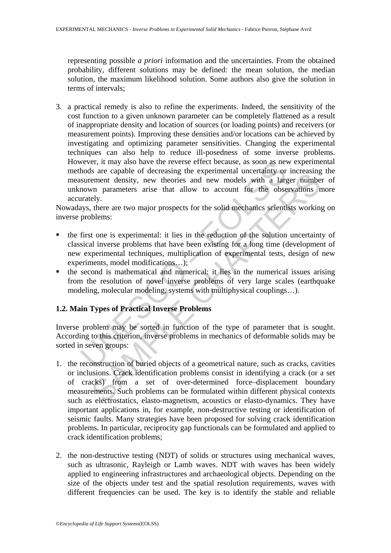representing possible *a priori* information and the uncertainties. From the obtained probability, different solutions may be defined: the mean solution, the median solution, the maximum likelihood solution. Some authors also give the solution in terms of intervals;

wever, it may also have the reverse effect because, as soon as new<br>hoods are capable of decreasing the experimental uncertainty or<br>surement density, new theories and new models with a large<br>nown parameters arise that allow 3. a practical remedy is also to refine the experiments. Indeed, the sensitivity of the cost function to a given unknown parameter can be completely flattened as a result of inappropriate density and location of sources (or loading points) and receivers (or measurement points). Improving these densities and/or locations can be achieved by investigating and optimizing parameter sensitivities. Changing the experimental techniques can also help to reduce ill-posedness of some inverse problems. However, it may also have the reverse effect because, as soon as new experimental methods are capable of decreasing the experimental uncertainty or increasing the measurement density, new theories and new models with a larger number of unknown parameters arise that allow to account for the observations more accurately.

Nowadays, there are two major prospects for the solid mechanics scientists working on inverse problems:

- the first one is experimental: it lies in the reduction of the solution uncertainty of classical inverse problems that have been existing for a long time (development of new experimental techniques, multiplication of experimental tests, design of new experiments, model modifications…);
- $\blacksquare$  the second is mathematical and numerical: it lies in the numerical issues arising from the resolution of novel inverse problems of very large scales (earthquake modeling, molecular modeling, systems with multiphysical couplings…).

## **1.2. Main Types of Practical Inverse Problems**

Inverse problem may be sorted in function of the type of parameter that is sought. According to this criterion, inverse problems in mechanics of deformable solids may be sorted in seven groups:

- SET at expansion to excessing the experimental uncerclainty of intercasing<br>term density, new theories and new models with a larger number<br>wn parameters arise that allow to account for the observations nely.<br>there are two m 1. the reconstruction of buried objects of a geometrical nature, such as cracks, cavities or inclusions. Crack identification problems consist in identifying a crack (or a set of cracks) from a set of over-determined force–displacement boundary measurements. Such problems can be formulated within different physical contexts such as electrostatics, elasto-magnetism, acoustics or elasto-dynamics. They have important applications in, for example, non-destructive testing or identification of seismic faults. Many strategies have been proposed for solving crack identification problems. In particular, reciprocity gap functionals can be formulated and applied to crack identification problems;
- 2. the non-destructive testing (NDT) of solids or structures using mechanical waves, such as ultrasonic, Rayleigh or Lamb waves. NDT with waves has been widely applied to engineering infrastructures and archaeological objects. Depending on the size of the objects under test and the spatial resolution requirements, waves with different frequencies can be used. The key is to identify the stable and reliable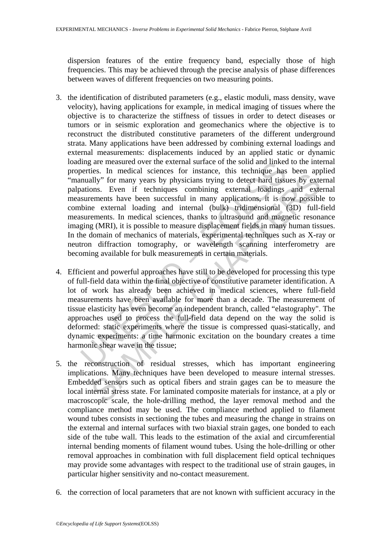dispersion features of the entire frequency band, especially those of high frequencies. This may be achieved through the precise analysis of phase differences between waves of different frequencies on two measuring points.

- im gare measured over the external surface of the solid and inkecenties. In medical sciences for instance, this technique has<br>nutually" for many years by physicians trying to detect hard tissuations. Even if techniques com Es. In include a section of this<br>diate, the increase for instance, this section and section apply in<br>The many years by physicians trying to detect hard tissues by externents have been successful in many applications, it is 3. the identification of distributed parameters (e.g., elastic moduli, mass density, wave velocity), having applications for example, in medical imaging of tissues where the objective is to characterize the stiffness of tissues in order to detect diseases or tumors or in seismic exploration and geomechanics where the objective is to reconstruct the distributed constitutive parameters of the different underground strata. Many applications have been addressed by combining external loadings and external measurements: displacements induced by an applied static or dynamic loading are measured over the external surface of the solid and linked to the internal properties. In medical sciences for instance, this technique has been applied "manually" for many years by physicians trying to detect hard tissues by external palpations. Even if techniques combining external loadings and external measurements have been successful in many applications, it is now possible to combine external loading and internal (bulk) tridimensional (3D) full-field measurements. In medical sciences, thanks to ultrasound and magnetic resonance imaging (MRI), it is possible to measure displacement fields in many human tissues. In the domain of mechanics of materials, experimental techniques such as X-ray or neutron diffraction tomography, or wavelength scanning interferometry are becoming available for bulk measurements in certain materials.
- 4. Efficient and powerful approaches have still to be developed for processing this type of full-field data within the final objective of constitutive parameter identification. A lot of work has already been achieved in medical sciences, where full-field measurements have been available for more than a decade. The measurement of tissue elasticity has even become an independent branch, called "elastography". The approaches used to process the full-field data depend on the way the solid is deformed: static experiments where the tissue is compressed quasi-statically, and dynamic experiments: a time harmonic excitation on the boundary creates a time harmonic shear wave in the tissue;
- 5. the reconstruction of residual stresses, which has important engineering implications. Many techniques have been developed to measure internal stresses. Embedded sensors such as optical fibers and strain gages can be to measure the local internal stress state. For laminated composite materials for instance, at a ply or macroscopic scale, the hole-drilling method, the layer removal method and the compliance method may be used. The compliance method applied to filament wound tubes consists in sectioning the tubes and measuring the change in strains on the external and internal surfaces with two biaxial strain gages, one bonded to each side of the tube wall. This leads to the estimation of the axial and circumferential internal bending moments of filament wound tubes. Using the hole-drilling or other removal approaches in combination with full displacement field optical techniques may provide some advantages with respect to the traditional use of strain gauges, in particular higher sensitivity and no-contact measurement.
- 6. the correction of local parameters that are not known with sufficient accuracy in the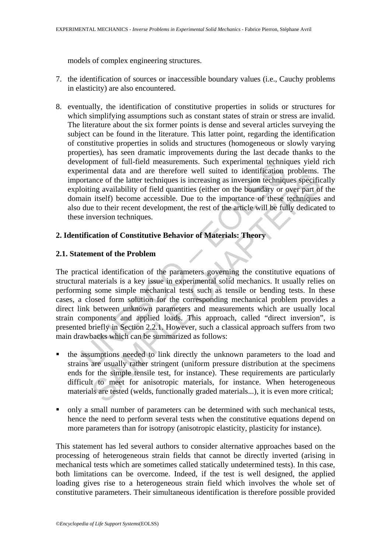models of complex engineering structures.

- 7. the identification of sources or inaccessible boundary values (i.e., Cauchy problems in elasticity) are also encountered.
- 8. eventually, the identification of constitutive properties in solids or structures for which simplifying assumptions such as constant states of strain or stress are invalid. The literature about the six former points is dense and several articles surveying the subject can be found in the literature. This latter point, regarding the identification of constitutive properties in solids and structures (homogeneous or slowly varying properties), has seen dramatic improvements during the last decade thanks to the development of full-field measurements. Such experimental techniques yield rich experimental data and are therefore well suited to identification problems. The importance of the latter techniques is increasing as inversion techniques specifically exploiting availability of field quantities (either on the boundary or over part of the domain itself) become accessible. Due to the importance of these techniques and also due to their recent development, the rest of the article will be fully dedicated to these inversion techniques.

# **2. Identification of Constitutive Behavior of Materials: Theory**

#### **2.1. Statement of the Problem**

Elopment of tuil-field measurements. Such experimental dechnication-<br>erimental data and are therefore well suited to identification<br>ortance of the latter techniques is increasing as inversion technique<br>loiting availability mentan dara and are tenterole were streaming of the state of the latter techniques is increasing as inversion techniques specific in the increasing as inversion techniques specific in the insect of these techniques specifi The practical identification of the parameters governing the constitutive equations of structural materials is a key issue in experimental solid mechanics. It usually relies on performing some simple mechanical tests such as tensile or bending tests. In these cases, a closed form solution for the corresponding mechanical problem provides a direct link between unknown parameters and measurements which are usually local strain components and applied loads. This approach, called "direct inversion", is presented briefly in Section 2.2.1. However, such a classical approach suffers from two main drawbacks which can be summarized as follows:

- the assumptions needed to link directly the unknown parameters to the load and strains are usually rather stringent (uniform pressure distribution at the specimens ends for the simple tensile test, for instance). These requirements are particularly difficult to meet for anisotropic materials, for instance. When heterogeneous materials are tested (welds, functionally graded materials...), it is even more critical;
- only a small number of parameters can be determined with such mechanical tests, hence the need to perform several tests when the constitutive equations depend on more parameters than for isotropy (anisotropic elasticity, plasticity for instance).

This statement has led several authors to consider alternative approaches based on the processing of heterogeneous strain fields that cannot be directly inverted (arising in mechanical tests which are sometimes called statically undetermined tests). In this case, both limitations can be overcome. Indeed, if the test is well designed, the applied loading gives rise to a heterogeneous strain field which involves the whole set of constitutive parameters. Their simultaneous identification is therefore possible provided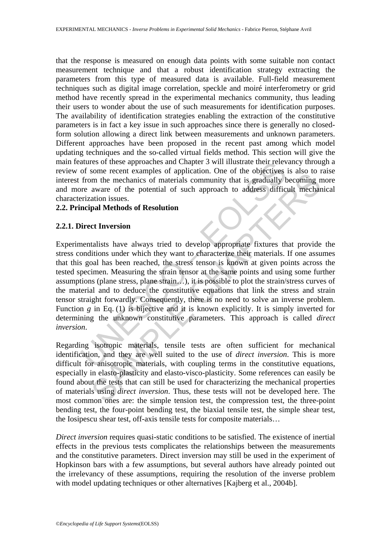that the response is measured on enough data points with some suitable non contact measurement technique and that a robust identification strategy extracting the parameters from this type of measured data is available. Full-field measurement techniques such as digital image correlation, speckle and moiré interferometry or grid method have recently spread in the experimental mechanics community, thus leading their users to wonder about the use of such measurements for identification purposes. The availability of identification strategies enabling the extraction of the constitutive parameters is in fact a key issue in such approaches since there is generally no closedform solution allowing a direct link between measurements and unknown parameters. Different approaches have been proposed in the recent past among which model updating techniques and the so-called virtual fields method. This section will give the main features of these approaches and Chapter 3 will illustrate their relevancy through a review of some recent examples of application. One of the objectives is also to raise interest from the mechanics of materials community that is gradually becoming more and more aware of the potential of such approach to address difficult mechanical characterization issues.

#### **2.2. Principal Methods of Resolution**

#### **2.2.1. Direct Inversion**

atures of these approaches and Chapter 3 will illustrate their relever<br>of some recent examples of application. One of the objectives<br>from the mechanics of materials community that is gradually be<br>re aware of the potential Some recent examples or approachin. One or the objectors is also to the<br>mm the mechanics of matrials community that is gradually becoming n<br>aware of the potential of such approach to address difficult mechan<br>ation issues.<br> Experimentalists have always tried to develop appropriate fixtures that provide the stress conditions under which they want to characterize their materials. If one assumes that this goal has been reached, the stress tensor is known at given points across the tested specimen. Measuring the strain tensor at the same points and using some further assumptions (plane stress, plane strain…), it is possible to plot the strain/stress curves of the material and to deduce the constitutive equations that link the stress and strain tensor straight forwardly. Consequently, there is no need to solve an inverse problem. Function *g* in Eq. (1) is bijective and it is known explicitly. It is simply inverted for determining the unknown constitutive parameters. This approach is called *direct inversion*.

Regarding isotropic materials, tensile tests are often sufficient for mechanical identification, and they are well suited to the use of *direct inversion*. This is more difficult for anisotropic materials, with coupling terms in the constitutive equations, especially in elasto-plasticity and elasto-visco-plasticity. Some references can easily be found about the tests that can still be used for characterizing the mechanical properties of materials using *direct inversion*. Thus, these tests will not be developed here. The most common ones are: the simple tension test, the compression test, the three-point bending test, the four-point bending test, the biaxial tensile test, the simple shear test, the Iosipescu shear test, off-axis tensile tests for composite materials…

*Direct inversion* requires quasi-static conditions to be satisfied. The existence of inertial effects in the previous tests complicates the relationships between the measurements and the constitutive parameters. Direct inversion may still be used in the experiment of Hopkinson bars with a few assumptions, but several authors have already pointed out the irrelevancy of these assumptions, requiring the resolution of the inverse problem with model updating techniques or other alternatives [Kajberg et al., 2004b].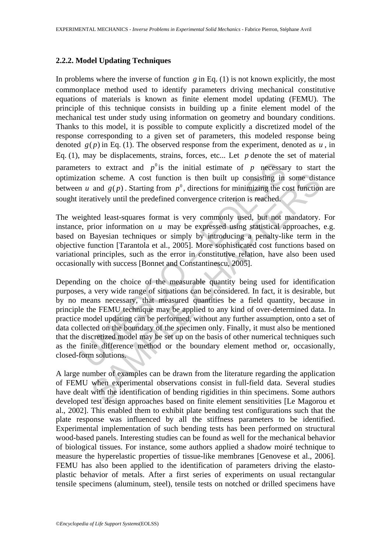#### **2.2.2. Model Updating Techniques**

In problems where the inverse of function  $g$  in Eq. (1) is not known explicitly, the most commonplace method used to identify parameters driving mechanical constitutive equations of materials is known as finite element model updating (FEMU). The principle of this technique consists in building up a finite element model of the mechanical test under study using information on geometry and boundary conditions. Thanks to this model, it is possible to compute explicitly a discretized model of the response corresponding to a given set of parameters, this modeled response being denoted  $g(p)$  in Eq. (1). The observed response from the experiment, denoted as  $u$ , in Eq. (1), may be displacements, strains, forces, etc... Let *p* denote the set of material parameters to extract and  $p^0$  is the initial estimate of  $p$  necessary to start the optimization scheme. A cost function is then built up consisting in some distance between *u* and  $g(p)$ . Starting from  $p^0$ , directions for minimizing the cost function are sought iteratively until the predefined convergence criterion is reached.

The weighted least-squares format is very commonly used, but not mandatory. For instance, prior information on *u* may be expressed using statistical approaches, e.g. based on Bayesian techniques or simply by introducing a penalty-like term in the objective function [Tarantola et al., 2005]. More sophisticated cost functions based on variational principles, such as the error in constitutive relation, have also been used occasionally with success [Bonnet and Constantinescu, 2005].

ters to extract and  $p^0$  is the initial estimate of  $p$  necessar<br>ation scheme. A cost function is then built up consisting in<br>1*u* and  $g(p)$ . Starting from  $p^0$ , directions for minimizing the c<br>teratively until the pred on scheme. A cost function is then built up consisting in some dist<br>and  $g(p)$ . Starting from  $p^0$ , directions for minimizing the cost function<br>atively until the predefined convergence criterion is reached.<br>ted least-squa Depending on the choice of the measurable quantity being used for identification purposes, a very wide range of situations can be considered. In fact, it is desirable, but by no means necessary, that measured quantities be a field quantity, because in principle the FEMU technique may be applied to any kind of over-determined data. In practice model updating can be performed, without any further assumption, onto a set of data collected on the boundary of the specimen only. Finally, it must also be mentioned that the discretized model may be set up on the basis of other numerical techniques such as the finite difference method or the boundary element method or, occasionally, closed-form solutions.

A large number of examples can be drawn from the literature regarding the application of FEMU when experimental observations consist in full-field data. Several studies have dealt with the identification of bending rigidities in thin specimens. Some authors developed test design approaches based on finite element sensitivities [Le Magorou et al., 2002]. This enabled them to exhibit plate bending test configurations such that the plate response was influenced by all the stiffness parameters to be identified. Experimental implementation of such bending tests has been performed on structural wood-based panels. Interesting studies can be found as well for the mechanical behavior of biological tissues. For instance, some authors applied a shadow moiré technique to measure the hyperelastic properties of tissue-like membranes [Genovese et al., 2006]. FEMU has also been applied to the identification of parameters driving the elastoplastic behavior of metals. After a first series of experiments on usual rectangular tensile specimens (aluminum, steel), tensile tests on notched or drilled specimens have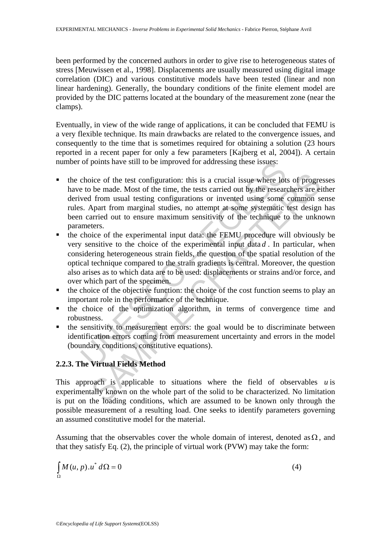been performed by the concerned authors in order to give rise to heterogeneous states of stress [Meuwissen et al., 1998]. Displacements are usually measured using digital image correlation (DIC) and various constitutive models have been tested (linear and non linear hardening). Generally, the boundary conditions of the finite element model are provided by the DIC patterns located at the boundary of the measurement zone (near the clamps).

Eventually, in view of the wide range of applications, it can be concluded that FEMU is a very flexible technique. Its main drawbacks are related to the convergence issues, and consequently to the time that is sometimes required for obtaining a solution (23 hours reported in a recent paper for only a few parameters [Kajberg et al, 2004]). A certain number of points have still to be improved for addressing these issues:

- the choice of the test configuration: this is a crucial issue where lots of progresses have to be made. Most of the time, the tests carried out by the researchers are either derived from usual testing configurations or invented using some common sense rules. Apart from marginal studies, no attempt at some systematic test design has been carried out to ensure maximum sensitivity of the technique to the unknown parameters.
- or points have still to be improved for addressing these issues:<br>choice of the test configuration: this is a crucial issue where lot<br>et to be made. Most of the time, the tests carried out by the resear<br>wed from usual testi ice of the test configuration: this is a crucial issue where lots of progre<br>be made. Most of the time, the tests carried out by the researchers are ei<br>from usual testing configurations or invented using some common se<br>Apar the choice of the experimental input data: the FEMU procedure will obviously be very sensitive to the choice of the experimental input data *d* . In particular, when considering heterogeneous strain fields, the question of the spatial resolution of the optical technique compared to the strain gradients is central. Moreover, the question also arises as to which data are to be used: displacements or strains and/or force, and over which part of the specimen.
- $\blacksquare$  the choice of the objective function: the choice of the cost function seems to play an important role in the performance of the technique.
- the choice of the optimization algorithm, in terms of convergence time and robustness.
- the sensitivity to measurement errors: the goal would be to discriminate between identification errors coming from measurement uncertainty and errors in the model (boundary conditions, constitutive equations).

## **2.2.3. The Virtual Fields Method**

This approach is applicable to situations where the field of observables *u* is experimentally known on the whole part of the solid to be characterized. No limitation is put on the loading conditions, which are assumed to be known only through the possible measurement of a resulting load. One seeks to identify parameters governing an assumed constitutive model for the material.

Assuming that the observables cover the whole domain of interest, denoted as  $\Omega$ , and that they satisfy Eq. (2), the principle of virtual work (PVW) may take the form:

$$
\int_{\Omega} M(u, p) \cdot u^* d\Omega = 0 \tag{4}
$$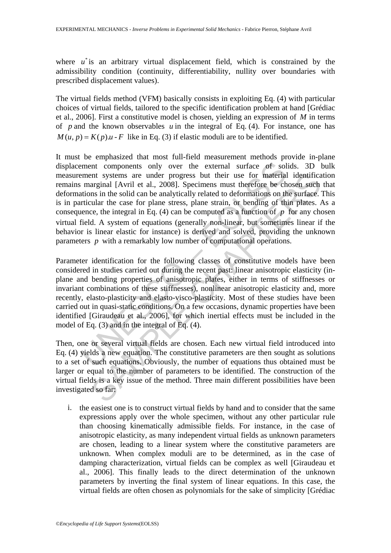where  $u^*$  is an arbitrary virtual displacement field, which is constrained by the admissibility condition (continuity, differentiability, nullity over boundaries with prescribed displacement values).

The virtual fields method (VFM) basically consists in exploiting Eq. (4) with particular choices of virtual fields, tailored to the specific identification problem at hand [Grédiac et al., 2006]. First a constitutive model is chosen, yielding an expression of *M* in terms of *p* and the known observables *u* in the integral of Eq. (4). For instance, one has  $M(u, p) = K(p)u - F$  like in Eq. (3) if elastic moduli are to be identified.

ment components only over the external surface of solment systems are under progress but their use for material marginal [Avril et al., 2008]. Specimens must therefore be chations in the solid can be analytically related nnt systems are under progress but their use for material identificar<br>arginal [Avril et al., 2008]. Specimes must therefore be chosen such a<br>mas in the solid can be analytically related to deformations on the surface.<br>Ful It must be emphasized that most full-field measurement methods provide in-plane displacement components only over the external surface of solids. 3D bulk measurement systems are under progress but their use for material identification remains marginal [Avril et al., 2008]. Specimens must therefore be chosen such that deformations in the solid can be analytically related to deformations on the surface. This is in particular the case for plane stress, plane strain, or bending of thin plates. As a consequence, the integral in Eq.  $(4)$  can be computed as a function of *p* for any chosen virtual field. A system of equations (generally non-linear, but sometimes linear if the behavior is linear elastic for instance) is derived and solved, providing the unknown parameters *p* with a remarkably low number of computational operations.

Parameter identification for the following classes of constitutive models have been considered in studies carried out during the recent past: linear anisotropic elasticity (inplane and bending properties of anisotropic plates, either in terms of stiffnesses or invariant combinations of these stiffnesses), nonlinear anisotropic elasticity and, more recently, elasto-plasticity and elasto-visco-plasticity. Most of these studies have been carried out in quasi-static conditions. On a few occasions, dynamic properties have been identified [Giraudeau et al., 2006], for which inertial effects must be included in the model of Eq. (3) and in the integral of Eq. (4).

Then, one or several virtual fields are chosen. Each new virtual field introduced into Eq. (4) yields a new equation. The constitutive parameters are then sought as solutions to a set of such equations. Obviously, the number of equations thus obtained must be larger or equal to the number of parameters to be identified. The construction of the virtual fields is a key issue of the method. Three main different possibilities have been investigated so far:

i. the easiest one is to construct virtual fields by hand and to consider that the same expressions apply over the whole specimen, without any other particular rule than choosing kinematically admissible fields. For instance, in the case of anisotropic elasticity, as many independent virtual fields as unknown parameters are chosen, leading to a linear system where the constitutive parameters are unknown. When complex moduli are to be determined, as in the case of damping characterization, virtual fields can be complex as well [Giraudeau et al., 2006]. This finally leads to the direct determination of the unknown parameters by inverting the final system of linear equations. In this case, the virtual fields are often chosen as polynomials for the sake of simplicity [Grédiac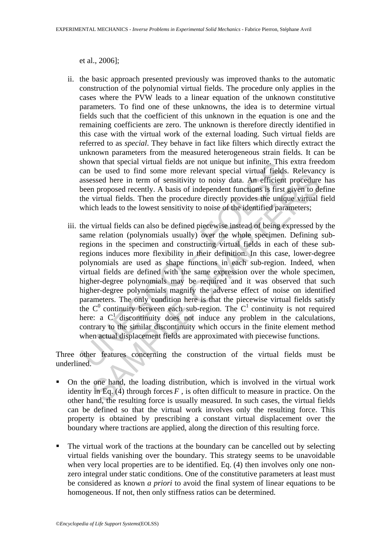et al., 2006];

- ii. the basic approach presented previously was improved thanks to the automatic construction of the polynomial virtual fields. The procedure only applies in the cases where the PVW leads to a linear equation of the unknown constitutive parameters. To find one of these unknowns, the idea is to determine virtual fields such that the coefficient of this unknown in the equation is one and the remaining coefficients are zero. The unknown is therefore directly identified in this case with the virtual work of the external loading. Such virtual fields are referred to as *special*. They behave in fact like filters which directly extract the unknown parameters from the measured heterogeneous strain fields. It can be shown that special virtual fields are not unique but infinite. This extra freedom can be used to find some more relevant special virtual fields. Relevancy is assessed here in term of sensitivity to noisy data. An efficient procedure has been proposed recently. A basis of independent functions is first given to define the virtual fields. Then the procedure directly provides the unique virtual field which leads to the lowest sensitivity to noise of the identified parameters;
- shown that special virtual fields are not unique but infinite. This<br>can be used to find some more relevant special virtual fields<br>assessed here in term of sensitivity to noisy data. An efficient<br>been proposed recently. A be used to may some more cleve<br>and prince the interpret whereas. Accessed here in term of sensitivity to noisy data. An efficient procedure<br>n proposed recently. A basis of independent functions is first given to de<br>virtua iii. the virtual fields can also be defined piecewise instead of being expressed by the same relation (polynomials usually) over the whole specimen. Defining subregions in the specimen and constructing virtual fields in each of these subregions induces more flexibility in their definition. In this case, lower-degree polynomials are used as shape functions in each sub-region. Indeed, when virtual fields are defined with the same expression over the whole specimen, higher-degree polynomials may be required and it was observed that such higher-degree polynomials magnify the adverse effect of noise on identified parameters. The only condition here is that the piecewise virtual fields satisfy the  $C^0$  continuity between each sub-region. The  $C^1$  continuity is not required here: a  $C<sup>1</sup>$  discontinuity does not induce any problem in the calculations, contrary to the similar discontinuity which occurs in the finite element method when actual displacement fields are approximated with piecewise functions.

Three other features concerning the construction of the virtual fields must be underlined.

- On the one hand, the loading distribution, which is involved in the virtual work identity in Eq.  $(4)$  through forces  $F$ , is often difficult to measure in practice. On the other hand, the resulting force is usually measured. In such cases, the virtual fields can be defined so that the virtual work involves only the resulting force. This property is obtained by prescribing a constant virtual displacement over the boundary where tractions are applied, along the direction of this resulting force.
- The virtual work of the tractions at the boundary can be cancelled out by selecting virtual fields vanishing over the boundary. This strategy seems to be unavoidable when very local properties are to be identified. Eq. (4) then involves only one nonzero integral under static conditions. One of the constitutive parameters at least must be considered as known *a priori* to avoid the final system of linear equations to be homogeneous. If not, then only stiffness ratios can be determined.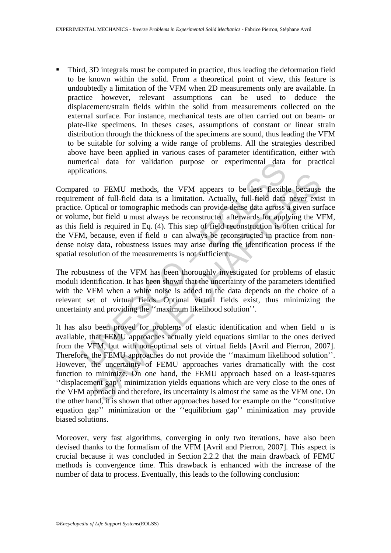Third, 3D integrals must be computed in practice, thus leading the deformation field to be known within the solid. From a theoretical point of view, this feature is undoubtedly a limitation of the VFM when 2D measurements only are available. In practice however, relevant assumptions can be used to deduce the displacement/strain fields within the solid from measurements collected on the external surface. For instance, mechanical tests are often carried out on beam- or plate-like specimens. In theses cases, assumptions of constant or linear strain distribution through the thickness of the specimens are sound, thus leading the VFM to be suitable for solving a wide range of problems. All the strategies described above have been applied in various cases of parameter identification, either with numerical data for validation purpose or experimental data for practical applications.

ications.<br>
ed to FEMU methods, the VFM appears to be less flexible<br>
ed to FEMU methods, the VFM appears to be less flexible<br>
ment of full-field data is a limitation. Actually, full-field data<br>
c. Optical or tomographic met Compared to FEMU methods, the VFM appears to be less flexible because the requirement of full-field data is a limitation. Actually, full-field data never exist in practice. Optical or tomographic methods can provide dense data across a given surface or volume, but field *u* must always be reconstructed afterwards for applying the VFM, as this field is required in Eq. (4). This step of field reconstruction is often critical for the VFM, because, even if field  $u$  can always be reconstructed in practice from nondense noisy data, robustness issues may arise during the identification process if the spatial resolution of the measurements is not sufficient.

The robustness of the VFM has been thoroughly investigated for problems of elastic moduli identification. It has been shown that the uncertainty of the parameters identified with the VFM when a white noise is added to the data depends on the choice of a relevant set of virtual fields. Optimal virtual fields exist, thus minimizing the uncertainty and providing the ''maximum likelihood solution''.

to FEMU methods, the VFM appears to be less flexible because<br>to FEMU methods, the VFM appears to be less flexible because<br>of full-field data is a limitation. Actually, full-field data neor exist<br>plutaind to tomographic met It has also been proved for problems of elastic identification and when field *u* is available, that FEMU approaches actually yield equations similar to the ones derived from the VFM, but with non-optimal sets of virtual fields [Avril and Pierron, 2007]. Therefore, the FEMU approaches do not provide the ''maximum likelihood solution''. However, the uncertainty of FEMU approaches varies dramatically with the cost function to minimize. On one hand, the FEMU approach based on a least-squares ''displacement gap'' minimization yields equations which are very close to the ones of the VFM approach and therefore, its uncertainty is almost the same as the VFM one. On the other hand, it is shown that other approaches based for example on the ''constitutive equation gap'' minimization or the ''equilibrium gap'' minimization may provide biased solutions.

Moreover, very fast algorithms, converging in only two iterations, have also been devised thanks to the formalism of the VFM [Avril and Pierron, 2007]. This aspect is crucial because it was concluded in Section 2.2.2 that the main drawback of FEMU methods is convergence time. This drawback is enhanced with the increase of the number of data to process. Eventually, this leads to the following conclusion: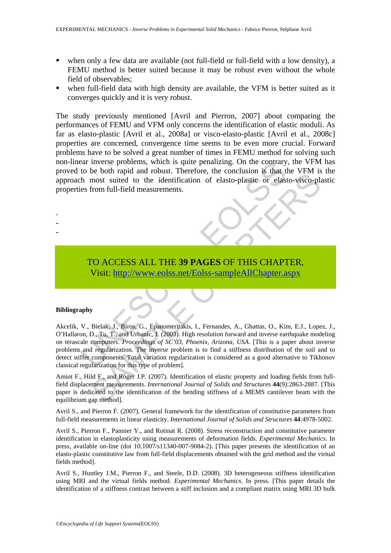- when only a few data are available (not full-field or full-field with a low density), a FEMU method is better suited because it may be robust even without the whole field of observables;
- when full-field data with high density are available, the VFM is better suited as it converges quickly and it is very robust.

The study previously mentioned [Avril and Pierron, 2007] about comparing the performances of FEMU and VFM only concerns the identification of elastic moduli. As far as elasto-plastic [Avril et al., 2008a] or visco-elasto-plastic [Avril et al., 2008c] properties are concerned, convergence time seems to be even more crucial. Forward problems have to be solved a great number of times in FEMU method for solving such non-linear inverse problems, which is quite penalizing. On the contrary, the VFM has proved to be both rapid and robust. Therefore, the conclusion is that the VFM is the approach most suited to the identification of elasto-plastic or elasto-visco-plastic properties from full-field measurements.

# TO ACCESS ALL THE **39 PAGES** OF THIS CHAPTER, Visit: http://www.eolss.net/Eolss-sampleAllChapter.aspx

#### **Bibliography**

- - -

example and republicans, which is quite penalizing. On the contrary<br>to be both rapid and robust. Therefore, the conclusion is that the<br>most suited to the identification of elasto-plastic or elast<br>es from full-field measure Court applar and rootst. Therefore, the conclusion is state Vision of the Chaptain most suited to the identification of elasto-plastic or elasto-visco-plare<br>from full-field measurements.<br>
From full-field measurements.<br>
The Akcelik, V., Bielak, J., Biros, G., Epanomeritakis, I., Fernandes, A., Ghattas, O., Kim, E.J., Lopez, J., O'Hallaron, D., Tu, T., and Urbanic, J. (2003). High resolution forward and inverse earthquake modeling on terascale computers. *Proceedings of SC'03, Phoenix, Arizona, USA*. [This is a paper about inverse problems and regularization. The inverse problem is to find a stiffness distribution of the soil and to detect stiffer components. Total variation regularization is considered as a good alternative to Tikhonov classical regularization for this type of problem].

Amiot F., Hild F., and Roger J.P. (2007). Identification of elastic property and loading fields from fullfield displacement measurements. *International Journal of Solids and Structures* **44**(9):2863-2887. [This paper is dedicated to the identification of the bending stiffness of a MEMS cantilever beam with the equilibrium gap method].

Avril S., and Pierron F. (2007). General framework for the identification of constitutive parameters from full-field measurements in linear elasticity. *International Journal of Solids and Structures* **44**:4978-5002.

Avril S., Pierron F., Pannier Y., and Rotinat R. (2008). Stress reconstruction and constitutive parameter identification in elastoplasticity using measurements of deformation fields. *Experimental Mechanics*. In press, available on-line (doi 10.1007/s11340-007-9084-2). [This paper presents the identification of an elasto-plastic constitutive law from full-field displacements obtained with the grid method and the virtual fields method].

Avril S., Huntley J.M., Pierron F., and Steele, D.D. (2008). 3D heterogeneous stiffness identification using MRI and the virtual fields method. *Experimental Mechanics*. In press. [This paper details the identification of a stiffness contrast between a stiff inclusion and a compliant matrix using MRI 3D bulk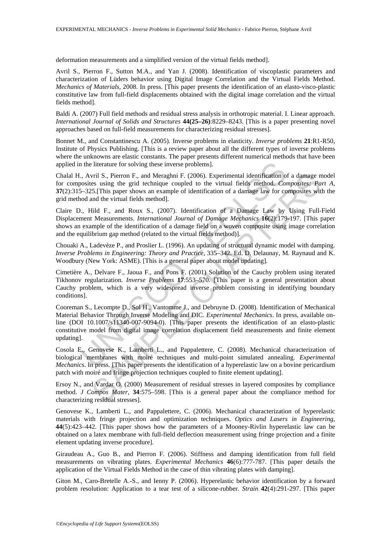deformation measurements and a simplified version of the virtual fields method].

Avril S., Pierron F., Sutton M.A., and Yan J. (2008). Identification of viscoplastic parameters and characterization of Lüders behavior using Digital Image Correlation and the Virtual Fields Method. *Mechanics of Materials*, 2008. In press. [This paper presents the identification of an elasto-visco-plastic constitutive law from full-field displacements obtained with the digital image correlation and the virtual fields method].

Baldi A. (2007) Full field methods and residual stress analysis in orthotropic material. I. Linear approach. *International Journal of Solids and Structures* **44(25–26)**:8229–8243. [This is a paper presenting novel approaches based on full-field measurements for characterizing residual stresses].

Bonnet M., and Constantinescu A. (2005). Inverse problems in elasticity. *Inverse problems* **21**:R1-R50, Institute of Physics Publishing. [This is a review paper about all the different types of inverse problems where the unknowns are elastic constants. The paper presents different numerical methods that have been applied in the literature for solving these inverse problems].

Chalal H., Avril S., Pierron F., and Meraghni F. (2006). Experimental identification of a damage model for composites using the grid technique coupled to the virtual fields method. *Composites: Part A*, **37**(2):315–325.[This paper shows an example of identification of a damage law for composites with the grid method and the virtual fields method].

Claire D., Hild F., and Roux S., (2007). Identification of a Damage Law by Using Full-Field Displacement Measurements. *International Journal of Damage Mechanics* **16**(2):179-197. [This paper shows an example of the identification of a damage field on a woven composite using image correlation and the equilibrium gap method (related to the virtual fields method)].

Chouaki A., Ladevèze P., and Proslier L. (1996). An updating of structural dynamic model with damping. *Inverse Problems in Engineering: Theory and Practice*, 335–342. Ed. D. Delaunay, M. Raynaud and K. Woodbury (New York: ASME). [This is a general paper about model updating].

Cimetière A., Delvare F., Jaoua F., and Pons F. (2001) Solution of the Cauchy problem using iterated Tikhonov regularization. *Inverse Problems* **17**:553–570. [This paper is a general presentation about Cauchy problem, which is a very widespread inverse problem consisting in identifying boundary conditions].

1 the literature for solving these inverse problems].<br>
., Avril S., Pierron F., and Meraghni F. (2006). Experimental identification o<br>
2008ites using the grid technique coupled to the virtual fields method. Cor<br>
5-325. (Th vril S., Pierron F., and Meraghni F. (2006). Experimental identification of a damage ns using the grid technique coupled to the virtual fields method. *Composites: Pearly* in Est using the grid technique coupled to the vir Cooreman S., Lecompte D., Sol H., Vantomme J., and Debruyne D. (2008). Identification of Mechanical Material Behavior Through Inverse Modeling and DIC. *Experimental Mechanics*. In press, available online (DOI 10.1007/s11340-007-9094-0). [This paper presents the identification of an elasto-plastic constitutive model from digital image correlation displacement field measurements and finite element updating].

Cosola E., Genovese K., Lamberti L., and Pappalettere, C. (2008). Mechanical characterization of biological membranes with moiré techniques and multi-point simulated annealing. *Experimental Mechanics*. In press. [This paper presents the identification of a hyperelastic law on a bovine pericardium patch with moiré and fringe projection techniques coupled to finite element updating].

Ersoy N., and Vardar O. (2000) Measurement of residual stresses in layered composites by compliance method. *J Compos Mater*, **34**:575–598. [This is a general paper about the compliance method for characterizing residual stresses].

Genovese K., Lamberti L., and Pappalettere, C. (2006). Mechanical characterization of hyperelastic materials with fringe projection and optimization techniques. *Optics and Lasers in Engineering*, **44**(5):423–442. [This paper shows how the parameters of a Mooney-Rivlin hyperelastic law can be obtained on a latex membrane with full-field deflection measurement using fringe projection and a finite element updating inverse procedure].

Giraudeau A., Guo B., and Pierron F. (2006). Stiffness and damping identification from full field measurements on vibrating plates. *Experimental Mechanics* **46**(6):777-787. [This paper details the application of the Virtual Fields Method in the case of thin vibrating plates with damping].

Giton M., Caro-Bretelle A.-S., and Ienny P. (2006). Hyperelastic behavior identification by a forward problem resolution: Application to a tear test of a silicone-rubber. *Strain* **42**(4):291-297. [This paper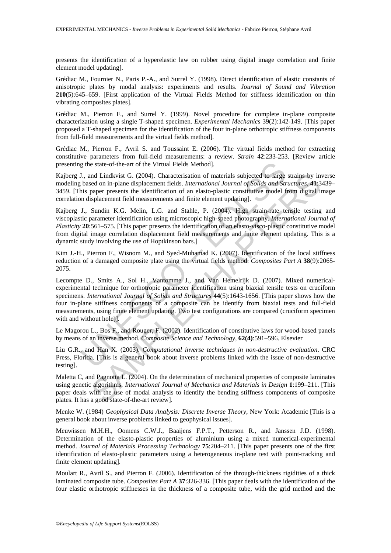presents the identification of a hyperelastic law on rubber using digital image correlation and finite element model updating].

Grédiac M., Fournier N., Paris P.-A., and Surrel Y. (1998). Direct identification of elastic constants of anisotropic plates by modal analysis: experiments and results. *Journal of Sound and Vibration* **210**(5):645–659. [First application of the Virtual Fields Method for stiffness identification on thin vibrating composites plates].

Grédiac M., Pierron F., and Surrel Y. (1999). Novel procedure for complete in-plane composite characterization using a single T-shaped specimen. *Experimental Mechanics* 39(2):142-149. [This paper proposed a T-shaped specimen for the identification of the four in-plane orthotropic stiffness components from full-field measurements and the virtual fields method].

Grédiac M., Pierron F., Avril S. and Toussaint E. (2006). The virtual fields method for extracting constitutive parameters from full-field measurements: a review. *Strain* **42**:233-253. [Review article presenting the state-of-the-art of the Virtual Fields Method].

Kajberg J., and Lindkvist G. (2004). Characterisation of materials subjected to large strains by inverse modeling based on in-plane displacement fields. *International Journal of Solids and Structures*, **41**:3439– 3459. [This paper presents the identification of an elasto-plastic constitutive model from digital image correlation displacement field measurements and finite element updating].

Kajberg J., Sundin K.G. Melin, L.G. and Stahle, P. (2004). High strain-rate tensile testing and viscoplastic parameter identification using microscopic high-speed photography. *International Journal of Plasticity* **20**:561–575. [This paper presents the identification of an elasto-visco-plastic constitutive model from digital image correlation displacement field measurements and finite element updating. This is a dynamic study involving the use of Hoptkinson bars.]

Kim J.-H., Pierron F., Wisnom M., and Syed-Muhamad K. (2007). Identification of the local stiffness reduction of a damaged composite plate using the virtual fields method. *Composites Part A* **38**(9):2065- 2075.

g the state-of-the-art of the Virtual Fields Method].<br>
U., and Lindkvist G. (2004). Characterisation of materials subjected to large<br>
based on in-plane displacement fields. *International Journal of Solids and Str*<br>
bisea nd Lindkvist G. (2004). Characterisation of materials subjected to large strains by in<br>edent on in-plane displacement fields. *International Journal of Solidis and Structures*, 4H.3<br>paper presents the identification of an Lecompte D., Smits A., Sol H., Vantomme J., and Van Hemelrijk D. (2007). Mixed numericalexperimental technique for orthotropic parameter identification using biaxial tensile tests on cruciform specimens. *International Journal of Solids and Structures* **44**(5):1643-1656. [This paper shows how the four in-plane stiffness components of a composite can be identify from biaxial tests and full-field measurements, using finite element updating. Two test configurations are compared (cruciform specimen with and without hole)].

Le Magorou L., Bos F., and Rouger, F. (2002). Identification of constitutive laws for wood-based panels by means of an inverse method. *Composite Science and Technology*, **62(4)**:591–596. Elsevier

Liu G.R., and Han X. (2003). *Computational inverse techniques in non-destructive evaluation*. CRC Press, Florida. [This is a general book about inverse problems linked with the issue of non-destructive testing].

Maletta C, and Pagnotta L. (2004). On the determination of mechanical properties of composite laminates using genetic algorithms. *International Journal of Mechanics and Materials in Design* **1**:199–211. [This paper deals with the use of modal analysis to identify the bending stiffness components of composite plates. It has a good state-of-the-art review].

Menke W. (1984) *Geophysical Data Analysis: Discrete Inverse Theory*, New York: Academic [This is a general book about inverse problems linked to geophysical issues].

Meuwissen M.H.H., Oomens C.W.J., Baaijens F.P.T., Petterson R., and Janssen J.D. (1998). Determination of the elasto-plastic properties of aluminium using a mixed numerical-experimental method. *Journal of Materials Processing Technology* **75**:204–211. [This paper presents one of the first identification of elasto-plastic parameters using a heterogeneous in-plane test with point-tracking and finite element updating].

Moulart R., Avril S., and Pierron F. (2006). Identification of the through-thickness rigidities of a thick laminated composite tube. *Composites Part A* **37**:326-336. [This paper deals with the identification of the four elastic orthotropic stiffnesses in the thickness of a composite tube, with the grid method and the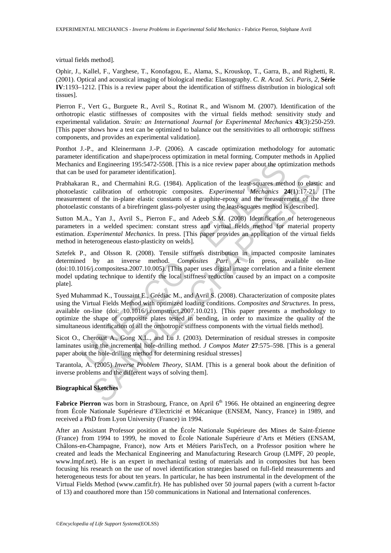virtual fields method].

Ophir, J., Kallel, F., Varghese, T., Konofagou, E., Alama, S., Krouskop, T., Garra, B., and Righetti, R. (2001). Optical and acoustical imaging of biological media: Elastography. *C. R. Acad. Sci. Paris, 2,* **Série IV**:1193–1212. [This is a review paper about the identification of stiffness distribution in biological soft tissues].

Pierron F., Vert G., Burguete R., Avril S., Rotinat R., and Wisnom M. (2007). Identification of the orthotropic elastic stiffnesses of composites with the virtual fields method: sensitivity study and experimental validation. *Strain: an International Journal for Experimental Mechanics* **43**(3):250-259. [This paper shows how a test can be optimized to balance out the sensitivities to all orthotropic stiffness components, and provides an experimental validation].

Ponthot J.-P., and Kleinermann J.-P. (2006). A cascade optimization methodology for automatic parameter identification and shape/process optimization in metal forming. Computer methods in Applied Mechanics and Engineering 195:5472-5508. [This is a nice review paper about the optimization methods that can be used for parameter identification].

Prabhakaran R., and Chermahini R.G. (1984). Application of the least-squares method to elastic and photoelastic calibration of orthotropic composites. *Experimental Mechanics* **24**(1):17-21. [The measurement of the in-plane elastic constants of a graphite-epoxy and the measurement of the three photoelastic constants of a birefringent glass-polyester using the least-squares method is described].

Sutton M.A., Yan J., Avril S., Pierron F., and Adeeb S.M. (2008) Identification of heterogeneous parameters in a welded specimen: constant stress and virtual fields method for material property estimation. *Experimental Mechanics*. In press. [This paper provides an application of the virtual fields method in heterogeneous elasto-plasticity on welds].

is and Engineering 195:5472-5508. [This is a nice review paper about the optive used for parameter identification].<br>
This is a nice review paper about the optical or the least-squares metric calibration of orthotropic com esa ior parameter uentineation].<br>
R., and Chermahini R.G. (1984). Application of the least-squares method to elastic<br>
calibration of orthororic composites. *Experimental Mechanics* 24(1):17-21.<br>
cof the in-plane elastic c Sztefek P., and Olsson R. (2008). Tensile stiffness distribution in impacted composite laminates determined by an inverse method. *Composites Part A.* In press, available on-line (doi:10.1016/j.compositesa.2007.10.005). [This paper uses digital image correlation and a finite element model updating technique to identify the local stiffness reduction caused by an impact on a composite plate].

Syed Muhammad K., Toussaint E., Grédiac M., and Avril S. (2008). Characterization of composite plates using the Virtual Fields Method with optimized loading conditions. *Composites and Structures*. In press, available on-line (doi: 10.1016/j.compstruct.2007.10.021). [This paper presents a methodology to optimize the shape of composite plates tested in bending, in order to maximize the quality of the simultaneous identification of all the orthotropic stiffness components with the virtual fields method].

Sicot O., Cherouat A., Gong X.L., and Lu J. (2003). Determination of residual stresses in composite laminates using the incremental hole-drilling method. *J Compos Mater* **27**:575–598. [This is a general paper about the hole-drilling method for determining residual stresses]

Tarantola, A. (2005) *Inverse Problem Theory*, SIAM. [This is a general book about the definition of inverse problems and the different ways of solving them].

#### **Biographical Sketches**

**Fabrice Pierron** was born in Strasbourg, France, on April 6<sup>th</sup> 1966. He obtained an engineering degree from École Nationale Supérieure d'Electricité et Mécanique (ENSEM, Nancy, France) in 1989, and received a PhD from Lyon University (France) in 1994.

After an Assistant Professor position at the École Nationale Supérieure des Mines de Saint-Étienne (France) from 1994 to 1999, he moved to École Nationale Supérieure d'Arts et Métiers (ENSAM, Châlons-en-Champagne, France), now Arts et Métiers ParisTech, on a Professor position where he created and leads the Mechanical Engineering and Manufacturing Research Group (LMPF, 20 people, www.lmpf.net). He is an expert in mechanical testing of materials and in composites but has been focusing his research on the use of novel identification strategies based on full-field measurements and heterogeneous tests for about ten years. In particular, he has been instrumental in the development of the Virtual Fields Method (www.camfit.fr). He has published over 50 journal papers (with a current h-factor of 13) and coauthored more than 150 communications in National and International conferences.